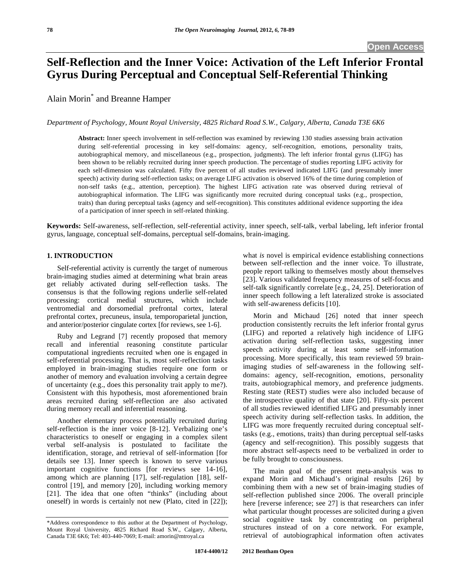# **Self-Reflection and the Inner Voice: Activation of the Left Inferior Frontal Gyrus During Perceptual and Conceptual Self-Referential Thinking**

Alain Morin\* and Breanne Hamper

*Department of Psychology, Mount Royal University, 4825 Richard Road S.W., Calgary, Alberta, Canada T3E 6K6* 

**Abstract:** Inner speech involvement in self-reflection was examined by reviewing 130 studies assessing brain activation during self-referential processing in key self-domains: agency, self-recognition, emotions, personality traits, autobiographical memory, and miscellaneous (e.g., prospection, judgments). The left inferior frontal gyrus (LIFG) has been shown to be reliably recruited during inner speech production. The percentage of studies reporting LIFG activity for each self-dimension was calculated. Fifty five percent of all studies reviewed indicated LIFG (and presumably inner speech) activity during self-reflection tasks; on average LIFG activation is observed 16% of the time during completion of non-self tasks (e.g., attention, perception). The highest LIFG activation rate was observed during retrieval of autobiographical information. The LIFG was significantly more recruited during conceptual tasks (e.g., prospection, traits) than during perceptual tasks (agency and self-recognition). This constitutes additional evidence supporting the idea of a participation of inner speech in self-related thinking.

**Keywords:** Self-awareness, self-reflection, self-referential activity, inner speech, self-talk, verbal labeling, left inferior frontal gyrus, language, conceptual self-domains, perceptual self-domains, brain-imaging.

#### **1. INTRODUCTION**

 Self-referential activity is currently the target of numerous brain-imaging studies aimed at determining what brain areas get reliably activated during self-reflection tasks. The consensus is that the following regions underlie self-related processing: cortical medial structures, which include ventromedial and dorsomedial prefrontal cortex, lateral prefrontal cortex, precuneus, insula, temporoparietal junction, and anterior/posterior cingulate cortex [for reviews, see 1-6].

 Ruby and Legrand [7] recently proposed that memory recall and inferential reasoning constitute particular computational ingredients recruited when one is engaged in self-referential processing. That is, most self-reflection tasks employed in brain-imaging studies require one form or another of memory and evaluation involving a certain degree of uncertainty (e.g., does this personality trait apply to me?). Consistent with this hypothesis, most aforementioned brain areas recruited during self-reflection are also activated during memory recall and inferential reasoning.

 Another elementary process potentially recruited during self-reflection is the inner voice [8-12]. Verbalizing one's characteristics to oneself or engaging in a complex silent verbal self-analysis is postulated to facilitate the identification, storage, and retrieval of self-information [for details see 13]. Inner speech is known to serve various important cognitive functions [for reviews see 14-16], among which are planning [17], self-regulation [18], selfcontrol [19], and memory [20], including working memory [21]. The idea that one often "thinks" (including about oneself) in words is certainly not new (Plato, cited in [22]);

what *is* novel is empirical evidence establishing connections between self-reflection and the inner voice. To illustrate, people report talking to themselves mostly about themselves [23]. Various validated frequency measures of self-focus and self-talk significantly correlate [e.g., 24, 25]. Deterioration of inner speech following a left lateralized stroke is associated with self-awareness deficits [10].

 Morin and Michaud [26] noted that inner speech production consistently recruits the left inferior frontal gyrus (LIFG) and reported a relatively high incidence of LIFG activation during self-reflection tasks, suggesting inner speech activity during at least some self-information processing. More specifically, this team reviewed 59 brainimaging studies of self-awareness in the following selfdomains: agency, self-recognition, emotions, personality traits, autobiographical memory, and preference judgments. Resting state (REST) studies were also included because of the introspective quality of that state [20]. Fifty-six percent of all studies reviewed identified LIFG and presumably inner speech activity during self-reflection tasks. In addition, the LIFG was more frequently recruited during conceptual selftasks (e.g., emotions, traits) than during perceptual self-tasks (agency and self-recognition). This possibly suggests that more abstract self-aspects need to be verbalized in order to be fully brought to consciousness.

 The main goal of the present meta-analysis was to expand Morin and Michaud's original results [26] by combining them with a new set of brain-imaging studies of self-reflection published since 2006. The overall principle here [reverse inference; see 27] is that researchers can infer what particular thought processes are solicited during a given social cognitive task by concentrating on peripheral structures instead of on a core network. For example, retrieval of autobiographical information often activates

<sup>\*</sup>Address correspondence to this author at the Department of Psychology, Mount Royal University, 4825 Richard Road S.W., Calgary, Alberta, Canada T3E 6K6; Tel: 403-440-7069; E-mail: amorin@mtroyal.ca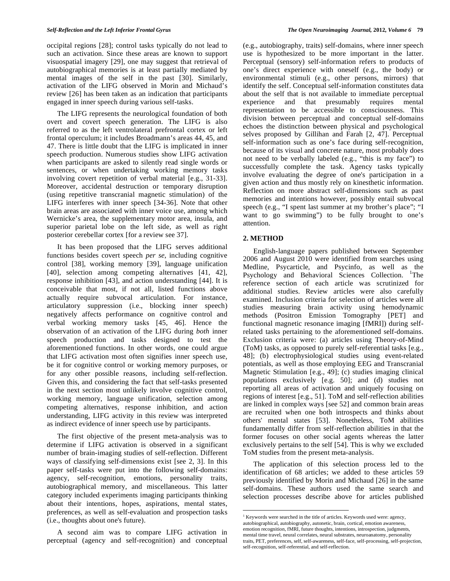occipital regions [28]; control tasks typically do not lead to such an activation. Since these areas are known to support visuospatial imagery [29], one may suggest that retrieval of autobiographical memories is at least partially mediated by mental images of the self in the past [30]. Similarly, activation of the LIFG observed in Morin and Michaud's review [26] has been taken as an indication that participants engaged in inner speech during various self-tasks.

 The LIFG represents the neurological foundation of both overt and covert speech generation. The LIFG is also referred to as the left ventrolateral prefrontal cortex or left frontal operculum; it includes Broadmann's areas 44, 45, and 47. There is little doubt that the LIFG is implicated in inner speech production. Numerous studies show LIFG activation when participants are asked to silently read single words or sentences, or when undertaking working memory tasks involving covert repetition of verbal material [e.g., 31-33]. Moreover, accidental destruction or temporary disruption (using repetitive transcranial magnetic stimulation) of the LIFG interferes with inner speech [34-36]. Note that other brain areas are associated with inner voice use, among which Wernicke's area, the supplementary motor area, insula, and superior parietal lobe on the left side, as well as right posterior cerebellar cortex [for a review see 37].

 It has been proposed that the LIFG serves additional functions besides covert speech *per se*, including cognitive control [38], working memory [39], language unification [40], selection among competing alternatives [41, 42], response inhibition [43], and action understanding [44]. It is conceivable that most, if not all, listed functions above actually require subvocal articulation. For instance, articulatory suppression (i.e., blocking inner speech) negatively affects performance on cognitive control and verbal working memory tasks [45, 46]. Hence the observation of an activation of the LIFG during *both* inner speech production and tasks designed to test the aforementioned functions. In other words, one could argue that LIFG activation most often signifies inner speech use, be it for cognitive control or working memory purposes, or for any other possible reasons, including self-reflection. Given this, and considering the fact that self-tasks presented in the next section most unlikely involve cognitive control, working memory, language unification, selection among competing alternatives, response inhibition, and action understanding, LIFG activity in this review was interpreted as indirect evidence of inner speech use by participants.

 The first objective of the present meta-analysis was to determine if LIFG activation is observed in a significant number of brain-imaging studies of self-reflection. Different ways of classifying self-dimensions exist [see 2, 3]. In this paper self-tasks were put into the following self-domains: agency, self-recognition, emotions, personality traits, autobiographical memory, and miscellaneous. This latter category included experiments imaging participants thinking about their intentions, hopes, aspirations, mental states, preferences, as well as self-evaluation and prospection tasks (i.e., thoughts about one's future).

 A second aim was to compare LIFG activation in perceptual (agency and self-recognition) and conceptual (e.g., autobiography, traits) self-domains, where inner speech use is hypothesized to be more important in the latter. Perceptual (sensory) self-information refers to products of one's direct experience with oneself (e.g., the body) or environmental stimuli (e.g., other persons, mirrors) that identify the self. Conceptual self-information constitutes data about the self that is not available to immediate perceptual experience and that presumably requires mental representation to be accessible to consciousness. This division between perceptual and conceptual self-domains echoes the distinction between physical and psychological selves proposed by Gillihan and Farah [2, 47]. Perceptual self-information such as one's face during self-recognition, because of its visual and concrete nature, most probably does not need to be verbally labeled (e.g., "this is my face") to successfully complete the task. Agency tasks typically involve evaluating the degree of one's participation in a given action and thus mostly rely on kinesthetic information. Reflection on more abstract self-dimensions such as past memories and intentions however, possibly entail subvocal speech (e.g., "I spent last summer at my brother's place"; "I want to go swimming") to be fully brought to one's attention.

# **2. METHOD**

1

 English-language papers published between September 2006 and August 2010 were identified from searches using Medline, Psycarticle, and Psycinfo, as well as the Psychology and Behavioral Sciences Collection. <sup>1</sup>The reference section of each article was scrutinized for additional studies. Review articles were also carefully examined. Inclusion criteria for selection of articles were all studies measuring brain activity using hemodynamic methods (Positron Emission Tomography [PET] and functional magnetic resonance imaging [fMRI]) during selfrelated tasks pertaining to the aforementioned self-domains. Exclusion criteria were: (a) articles using Theory-of-Mind (ToM) tasks, as opposed to purely self-referential tasks [e.g., 48]; (b) electrophysiological studies using event-related potentials, as well as those employing EEG and Transcranial Magnetic Stimulation [e.g., 49]; (c) studies imaging clinical populations exclusively [e.g. 50]; and (d) studies not reporting all areas of activation and uniquely focusing on regions of interest [e.g., 51]. ToM and self-reflection abilities are linked in complex ways [see 52] and common brain areas are recruited when one both introspects and thinks about others' mental states [53]. Nonetheless, ToM abilities fundamentally differ from self-reflection abilities in that the former focuses on other social agents whereas the latter exclusively pertains to the self [54]. This is why we excluded ToM studies from the present meta-analysis.

 The application of this selection process led to the identification of 68 articles; we added to these articles 59 previously identified by Morin and Michaud [26] in the same self-domains. These authors used the same search and selection processes describe above for articles published

<sup>&</sup>lt;sup>1</sup> Keywords were searched in the title of articles. Keywords used were: agency, autobiographical, autobiography, autonetic, brain, cortical, emotion awareness, emotion recognition, fMRI, future thoughts, intentions, introspection, judgments, mental time travel, neural correlates, neural substrates, neuroanatomy, personality traits, PET, preferences, self, self-awareness, self-face, self-processing, self-projection, self-recognition, self-referential, and self-reflection.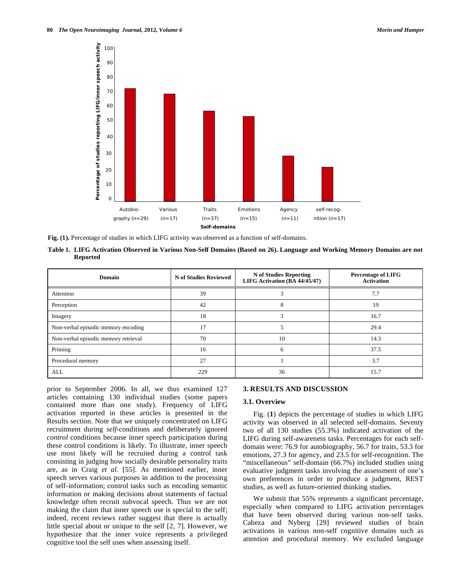

**Fig. (1).** Percentage of studies in which LIFG activity was observed as a function of self-domains.

**Table 1. LIFG Activation Observed in Various Non-Self Domains (Based on 26). Language and Working Memory Domains are not Reported** 

| Domain                               | <b>N</b> of Studies Reviewed | <b>N</b> of Studies Reporting<br>LIFG Activation (BA 44/45/47) | <b>Percentage of LIFG</b><br><b>Activation</b> |
|--------------------------------------|------------------------------|----------------------------------------------------------------|------------------------------------------------|
| Attention                            | 39                           | 3                                                              | 7.7                                            |
| Perception                           | 42                           | 8                                                              | 19                                             |
| Imagery                              | 18                           | 3                                                              | 16.7                                           |
| Non-verbal episodic memory encoding  | 17                           | 5                                                              | 29.4                                           |
| Non-verbal episodic memory retrieval | 70                           | 10                                                             | 14.3                                           |
| Priming                              | 16                           | 6                                                              | 37.5                                           |
| Procedural memory                    | 27                           |                                                                | 3.7                                            |
| ALL                                  | 229                          | 36                                                             | 15.7                                           |

prior to September 2006. In all, we thus examined 127 articles containing 130 individual studies (some papers contained more than one study). Frequency of LIFG activation reported in these articles is presented in the Results section. Note that we uniquely concentrated on LIFG recruitment during *self*-conditions and deliberately ignored *control* conditions because inner speech participation during these control conditions is likely. To illustrate, inner speech use most likely will be recruited during a control task consisting in judging how socially desirable personality traits are, as in Craig *et al.* [55]. As mentioned earlier, inner speech serves various purposes in addition to the processing of self-information; control tasks such as encoding semantic information or making decisions about statements of factual knowledge often recruit subvocal speech. Thus we are not making the claim that inner speech use is special to the self; indeed, recent reviews rather suggest that there is actually little special about or unique to the self [2, 7]. However, we hypothesize that the inner voice represents a privileged cognitive tool the self uses when assessing itself.

# **3. RESULTS AND DISCUSSION**

#### **3.1. Overview**

 Fig. (**1**) depicts the percentage of studies in which LIFG activity was observed in all selected self-domains. Seventy two of all 130 studies (55.3%) indicated activation of the LIFG during self-awareness tasks. Percentages for each selfdomain were: 76.9 for autobiography, 56.7 for traits, 53.3 for emotions, 27.3 for agency, and 23.5 for self-recognition. The "miscellaneous" self-domain (66.7%) included studies using evaluative judgment tasks involving the assessment of one's own preferences in order to produce a judgment, REST studies, as well as future-oriented thinking studies.

 We submit that 55% represents a significant percentage, especially when compared to LIFG activation percentages that have been observed during various non-self tasks. Cabeza and Nyberg [29] reviewed studies of brain activations in various non-self cognitive domains such as attention and procedural memory. We excluded language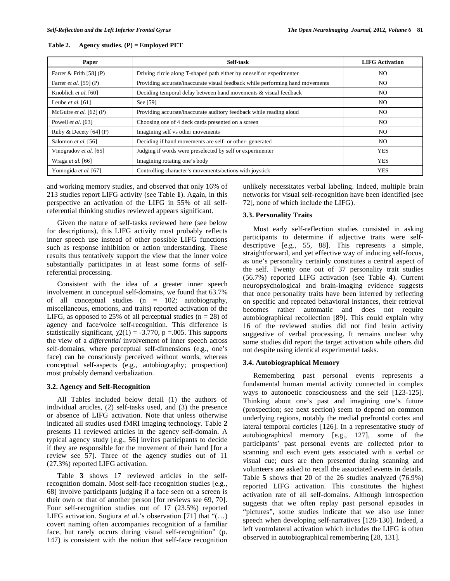| Paper                           | Self-task                                                                     | <b>LIFG Activation</b> |
|---------------------------------|-------------------------------------------------------------------------------|------------------------|
| Farrer & Frith $[58] (P)$       | Driving circle along T-shaped path either by oneself or experimenter          | NO                     |
| Farrer <i>et al.</i> [59] $(P)$ | Providing accurate/inaccurate visual feedback while performing hand movements | N <sub>O</sub>         |
| Knoblich et al. [60]            | Deciding temporal delay between hand movements & visual feedback              | N <sub>O</sub>         |
| Leube et al. $[61]$             | See [59]                                                                      | N <sub>O</sub>         |
| McGuire et al. $[62] (P)$       | Providing accurate/inaccurate auditory feedback while reading aloud           | N <sub>O</sub>         |
| Powell et al. [63]              | Choosing one of 4 deck cards presented on a screen                            | N <sub>O</sub>         |
| Ruby & Decety [64] (P)          | Imagining self vs other movements                                             | N <sub>O</sub>         |
| Salomon et al. [56]             | Deciding if hand movements are self- or other-generated                       | NO.                    |
| Vinogradov et al. [65]          | Judging if words were preselected by self or experimenter                     | <b>YES</b>             |
| Wraga et al. [66]               | Imagining rotating one's body                                                 | <b>YES</b>             |
| Yomogida et al. [67]            | Controlling character's movements/actions with joystick                       | <b>YES</b>             |

**Table 2. Agency studies. (P) = Employed PET** 

and working memory studies, and observed that only 16% of 213 studies report LIFG activity (see Table **1**). Again, in this perspective an activation of the LIFG in 55% of all selfreferential thinking studies reviewed appears significant.

 Given the nature of self-tasks reviewed here (see below for descriptions), this LIFG activity most probably reflects inner speech use instead of other possible LIFG functions such as response inhibition or action understanding. These results thus tentatively support the view that the inner voice substantially participates in at least some forms of selfreferential processing.

 Consistent with the idea of a greater inner speech involvement in conceptual self-domains, we found that 63.7% of all conceptual studies (n = 102; autobiography, miscellaneous, emotions, and traits) reported activation of the LIFG, as opposed to 25% of all perceptual studies  $(n = 28)$  of agency and face/voice self-recognition. This difference is statistically significant,  $\chi$ 2(1) = -3.770, p =.005. This supports the view of a *differential* involvement of inner speech across self-domains, where perceptual self-dimensions (e.g., one's face) can be consciously perceived without words, whereas conceptual self-aspects (e.g., autobiography; prospection) most probably demand verbalization.

# **3.2. Agency and Self-Recognition**

 All Tables included below detail (1) the authors of individual articles, (2) self-tasks used, and (3) the presence or absence of LIFG activation. Note that unless otherwise indicated all studies used fMRI imaging technology. Table **2** presents 11 reviewed articles in the agency self-domain. A typical agency study [e.g., 56] invites participants to decide if they are responsible for the movement of their hand [for a review see 57]. Three of the agency studies out of 11 (27.3%) reported LIFG activation.

 Table **3** shows 17 reviewed articles in the selfrecognition domain. Most self-face recognition studies [e.g., 68] involve participants judging if a face seen on a screen is their own or that of another person [for reviews see 69, 70]. Four self-recognition studies out of 17 (23.5%) reported LIFG activation. Sugiura *et al.*'s observation [71] that "(...) covert naming often accompanies recognition of a familiar face, but rarely occurs during visual self-recognition" (p. 147) is consistent with the notion that self-face recognition

unlikely necessitates verbal labeling. Indeed, multiple brain networks for visual self-recognition have been identified [see 72], none of which include the LIFG).

# **3.3. Personality Traits**

 Most early self-reflection studies consisted in asking participants to determine if adjective traits were selfdescriptive [e.g., 55, 88]. This represents a simple, straightforward, and yet effective way of inducing self-focus, as one's personality certainly constitutes a central aspect of the self. Twenty one out of 37 personality trait studies (56.7%) reported LIFG activation (see Table **4**). Current neuropsychological and brain-imaging evidence suggests that once personality traits have been inferred by reflecting on specific and repeated behavioral instances, their retrieval becomes rather automatic and does not require autobiographical recollection [89]. This could explain why 16 of the reviewed studies did not find brain activity suggestive of verbal processing. It remains unclear why some studies did report the target activation while others did not despite using identical experimental tasks.

#### **3.4. Autobiographical Memory**

 Remembering past personal events represents a fundamental human mental activity connected in complex ways to autonoetic consciousness and the self [123-125]. Thinking about one's past and imagining one's future (prospection; see next section) seem to depend on common underlying regions, notably the medial prefrontal cortex and lateral temporal corticles [126]. In a representative study of autobiographical memory [e.g., 127], some of the participants' past personal events are collected prior to scanning and each event gets associated with a verbal or visual cue; cues are then presented during scanning and volunteers are asked to recall the associated events in details. Table **5** shows that 20 of the 26 studies analyzed (76.9%) reported LIFG activation. This constitutes the highest activation rate of all self-domains. Although introspection suggests that we often replay past personal episodes in "pictures", some studies indicate that we also use inner speech when developing self-narratives [128-130]. Indeed, a left ventrolateral activation which includes the LIFG is often observed in autobiographical remembering [28, 131].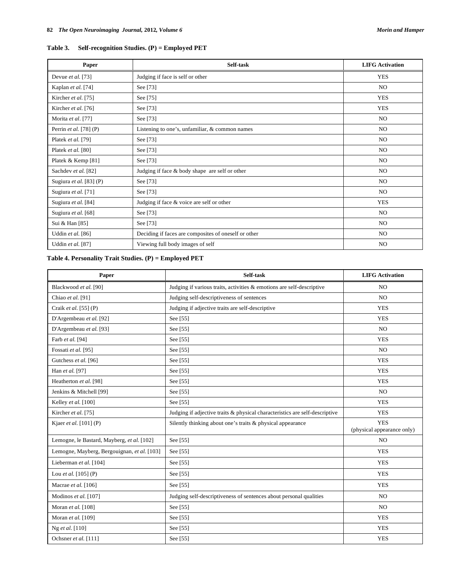# **Table 3. Self-recognition Studies. (P) = Employed PET**

| Paper                    | Self-task                                            | <b>LIFG Activation</b> |
|--------------------------|------------------------------------------------------|------------------------|
| Devue et al. [73]        | Judging if face is self or other                     | <b>YES</b>             |
| Kaplan et al. [74]       | See [73]                                             | NO.                    |
| Kircher et al. [75]      | See [75]                                             | <b>YES</b>             |
| Kircher et al. [76]      | See [73]                                             | <b>YES</b>             |
| Morita et al. [77]       | See [73]                                             | NO.                    |
| Perrin et al. $[78]$ (P) | Listening to one's, unfamiliar, $&$ common names     | N <sub>O</sub>         |
| Platek et al. [79]       | See [73]                                             | N <sub>O</sub>         |
| Platek et al. [80]       | See [73]                                             | NO.                    |
| Platek & Kemp [81]       | See [73]                                             | NO.                    |
| Sachdev et al. [82]      | Judging if face $&$ body shape are self or other     | N <sub>O</sub>         |
| Sugiura et al. [83] (P)  | See [73]                                             | N <sub>O</sub>         |
| Sugiura et al. [71]      | See [73]                                             | N <sub>O</sub>         |
| Sugiura et al. [84]      | Judging if face & voice are self or other            | <b>YES</b>             |
| Sugiura et al. [68]      | See [73]                                             | N <sub>O</sub>         |
| Sui & Han [85]           | See [73]                                             | N <sub>O</sub>         |
| Uddin et al. [86]        | Deciding if faces are composites of oneself or other | N <sub>O</sub>         |
| Uddin et al. [87]        | Viewing full body images of self                     | NO.                    |

# **Table 4. Personality Trait Studies. (P) = Employed PET**

| Paper                                       | Self-task                                                                   | <b>LIFG Activation</b>                   |
|---------------------------------------------|-----------------------------------------------------------------------------|------------------------------------------|
| Blackwood et al. [90]                       | Judging if various traits, activities $&$ emotions are self-descriptive     | N <sub>O</sub>                           |
| Chiao et al. [91]                           | Judging self-descriptiveness of sentences                                   | N <sub>O</sub>                           |
| Craik et al. [55] (P)                       | Judging if adjective traits are self-descriptive                            | <b>YES</b>                               |
| D'Argembeau et al. [92]                     | See [55]                                                                    | <b>YES</b>                               |
| D'Argembeau et al. [93]                     | See [55]                                                                    | NO.                                      |
| Farb et al. [94]                            | See [55]                                                                    | <b>YES</b>                               |
| Fossati et al. [95]                         | See [55]                                                                    | N <sub>O</sub>                           |
| Gutchess et al. [96]                        | See [55]                                                                    | <b>YES</b>                               |
| Han et al. [97]                             | See [55]                                                                    | <b>YES</b>                               |
| Heatherton et al. [98]                      | See [55]                                                                    | <b>YES</b>                               |
| Jenkins & Mitchell [99]                     | See [55]                                                                    | N <sub>O</sub>                           |
| Kelley et al. [100]                         | See [55]                                                                    | <b>YES</b>                               |
| Kircher et al. [75]                         | Judging if adjective traits & physical characteristics are self-descriptive | <b>YES</b>                               |
| Kjaer et al. $[101] (P)$                    | Silently thinking about one's traits & physical appearance                  | <b>YES</b><br>(physical appearance only) |
| Lemogne, le Bastard, Mayberg, et al. [102]  | See [55]                                                                    | N <sub>O</sub>                           |
| Lemogne, Mayberg, Bergouignan, et al. [103] | See [55]                                                                    | <b>YES</b>                               |
| Lieberman et al. [104]                      | See [55]                                                                    | <b>YES</b>                               |
| Lou et al. [105] (P)                        | See [55]                                                                    | <b>YES</b>                               |
| Macrae et al. [106]                         | See [55]                                                                    | <b>YES</b>                               |
| Modinos et al. [107]                        | Judging self-descriptiveness of sentences about personal qualities          | N <sub>O</sub>                           |
| Moran et al. [108]                          | See [55]                                                                    | N <sub>O</sub>                           |
| Moran et al. [109]                          | See [55]                                                                    | <b>YES</b>                               |
| Ng et al. [110]                             | See [55]                                                                    | <b>YES</b>                               |
| Ochsner et al. [111]                        | See [55]                                                                    | <b>YES</b>                               |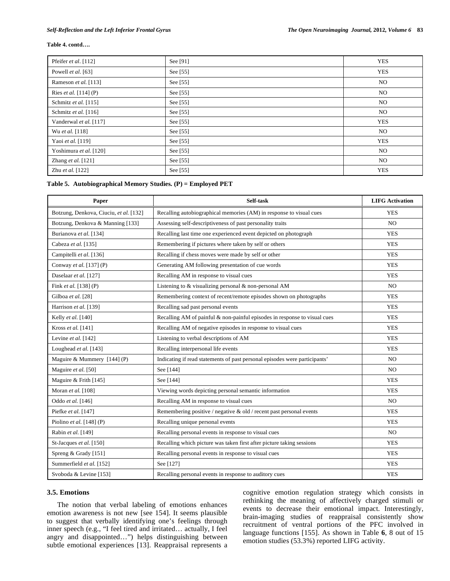# **Table 4. contd….**

| Pfeifer et al. [112]         | See [91] | <b>YES</b>     |
|------------------------------|----------|----------------|
| Powell et al. [63]           | See [55] | <b>YES</b>     |
| Rameson et al. [113]         | See [55] | NO.            |
| Ries <i>et al.</i> [114] (P) | See [55] | N <sub>O</sub> |
| Schmitz et al. [115]         | See [55] | N <sub>O</sub> |
| Schmitz et al. [116]         | See [55] | N <sub>O</sub> |
| Vanderwal et al. [117]       | See [55] | <b>YES</b>     |
| Wu et al. [118]              | See [55] | N <sub>O</sub> |
| Yaoi et al. [119]            | See [55] | <b>YES</b>     |
| Yoshimura et al. [120]       | See [55] | N <sub>O</sub> |
| Zhang et al. $[121]$         | See [55] | N <sub>O</sub> |
| Zhu et al. $[122]$           | See [55] | <b>YES</b>     |

#### **Table 5. Autobiographical Memory Studies. (P) = Employed PET**

| Paper                                  | Self-task                                                                  | <b>LIFG Activation</b> |
|----------------------------------------|----------------------------------------------------------------------------|------------------------|
| Botzung, Denkova, Ciuciu, et al. [132] | Recalling autobiographical memories (AM) in response to visual cues        | <b>YES</b>             |
| Botzung, Denkova & Manning [133]       | Assessing self-descriptiveness of past personality traits                  | N <sub>O</sub>         |
| Burianova et al. [134]                 | Recalling last time one experienced event depicted on photograph           | <b>YES</b>             |
| Cabeza et al. [135]                    | Remembering if pictures where taken by self or others                      | <b>YES</b>             |
| Campitelli et al. [136]                | Recalling if chess moves were made by self or other                        | <b>YES</b>             |
| Conway et al. [137] (P)                | Generating AM following presentation of cue words                          | <b>YES</b>             |
| Daselaar et al. [127]                  | Recalling AM in response to visual cues                                    | <b>YES</b>             |
| Fink et al. [138] (P)                  | Listening to & visualizing personal & non-personal AM                      | NO.                    |
| Gilboa et al. [28]                     | Remembering context of recent/remote episodes shown on photographs         | <b>YES</b>             |
| Harrison et al. [139]                  | Recalling sad past personal events                                         | <b>YES</b>             |
| Kelly et al. [140]                     | Recalling AM of painful & non-painful episodes in response to visual cues  | <b>YES</b>             |
| Kross et al. [141]                     | Recalling AM of negative episodes in response to visual cues               | <b>YES</b>             |
| Levine et al. [142]                    | Listening to verbal descriptions of AM                                     | <b>YES</b>             |
| Loughead et al. [143]                  | Recalling interpersonal life events                                        | <b>YES</b>             |
| Maguire & Mummery [144] (P)            | Indicating if read statements of past personal episodes were participants' | NO.                    |
| Maguire et al. [50]                    | See [144]                                                                  | NO.                    |
| Maguire & Frith [145]                  | See [144]                                                                  | <b>YES</b>             |
| Moran et al. [108]                     | Viewing words depicting personal semantic information                      | <b>YES</b>             |
| Oddo et al. [146]                      | Recalling AM in response to visual cues                                    | NO.                    |
| Piefke et al. [147]                    | Remembering positive / negative & old / recent past personal events        | <b>YES</b>             |
| Piolino et al. $[148]$ (P)             | Recalling unique personal events                                           | <b>YES</b>             |
| Rabin et al. [149]                     | Recalling personal events in response to visual cues                       | N <sub>O</sub>         |
| St-Jacques et al. [150]                | Recalling which picture was taken first after picture taking sessions      | <b>YES</b>             |
| Spreng & Grady [151]                   | Recalling personal events in response to visual cues                       | <b>YES</b>             |
| Summerfield et al. [152]               | See [127]                                                                  | <b>YES</b>             |
| Svoboda & Levine [153]                 | Recalling personal events in response to auditory cues                     | <b>YES</b>             |

# **3.5. Emotions**

 The notion that verbal labeling of emotions enhances emotion awareness is not new [see 154]. It seems plausible to suggest that verbally identifying one's feelings through inner speech (e.g., "I feel tired and irritated… actually, I feel angry and disappointed…") helps distinguishing between subtle emotional experiences [13]. Reappraisal represents a cognitive emotion regulation strategy which consists in rethinking the meaning of affectively charged stimuli or events to decrease their emotional impact. Interestingly, brain-imaging studies of reappraisal consistently show recruitment of ventral portions of the PFC involved in language functions [155]. As shown in Table **6**, 8 out of 15 emotion studies (53.3%) reported LIFG activity.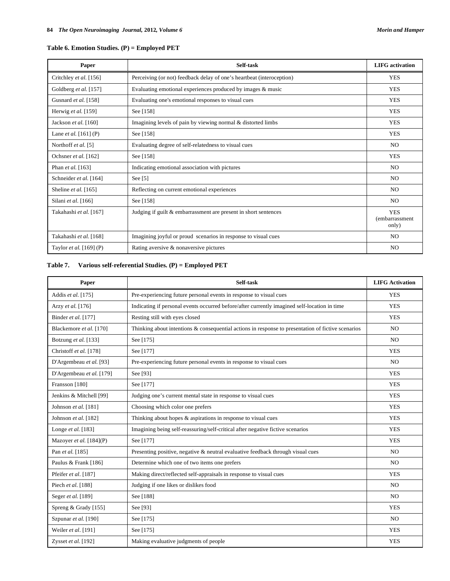# **Table 6. Emotion Studies. (P) = Employed PET**

| Paper                         | Self-task                                                             | <b>LIFG</b> activation                |
|-------------------------------|-----------------------------------------------------------------------|---------------------------------------|
| Critchley et al. [156]        | Perceiving (or not) feedback delay of one's heartbeat (interoception) | <b>YES</b>                            |
| Goldberg et al. [157]         | Evaluating emotional experiences produced by images $\&$ music        | <b>YES</b>                            |
| Gusnard et al. [158]          | Evaluating one's emotional responses to visual cues                   | <b>YES</b>                            |
| Herwig et al. [159]           | See [158]                                                             | <b>YES</b>                            |
| Jackson <i>et al.</i> $[160]$ | Imagining levels of pain by viewing normal & distorted limbs          | <b>YES</b>                            |
| Lane <i>et al.</i> [161] (P)  | See [158]                                                             | <b>YES</b>                            |
| Northoff et al. [5]           | Evaluating degree of self-relatedness to visual cues                  | NO.                                   |
| Ochsner et al. [162]          | See [158]                                                             | <b>YES</b>                            |
| Phan <i>et al.</i> $[163]$    | Indicating emotional association with pictures                        | NO.                                   |
| Schneider et al. [164]        | See [5]                                                               | N <sub>O</sub>                        |
| Sheline et al. [165]          | Reflecting on current emotional experiences                           | N <sub>O</sub>                        |
| Silani et al. [166]           | See [158]                                                             | N <sub>O</sub>                        |
| Takahashi et al. [167]        | Judging if guilt & embarrassment are present in short sentences       | <b>YES</b><br>(embarrassment<br>only) |
| Takahashi et al. [168]        | Imagining joyful or proud scenarios in response to visual cues        | NO.                                   |
| Taylor et al. [169] (P)       | Rating aversive & nonaversive pictures                                | NO.                                   |

# **Table 7. Various self-referential Studies. (P) = Employed PET**

| Paper                    | Self-task                                                                                          | <b>LIFG Activation</b> |
|--------------------------|----------------------------------------------------------------------------------------------------|------------------------|
| Addis et al. [175]       | Pre-experiencing future personal events in response to visual cues                                 | <b>YES</b>             |
| Arzy et al. [176]        | Indicating if personal events occurred before/after currently imagined self-location in time       | <b>YES</b>             |
| Binder et al. [177]      | Resting still with eyes closed                                                                     | <b>YES</b>             |
| Blackemore et al. [170]  | Thinking about intentions & consequential actions in response to presentation of fictive scenarios | NO.                    |
| Botzung et al. [133]     | See [175]                                                                                          | N <sub>O</sub>         |
| Christoff et al. [178]   | See [177]                                                                                          | <b>YES</b>             |
| D'Argembeau et al. [93]  | Pre-experiencing future personal events in response to visual cues                                 | NO.                    |
| D'Argembeau et al. [179] | See [93]                                                                                           | <b>YES</b>             |
| Fransson [180]           | See [177]                                                                                          | <b>YES</b>             |
| Jenkins & Mitchell [99]  | Judging one's current mental state in response to visual cues                                      | <b>YES</b>             |
| Johnson et al. [181]     | Choosing which color one prefers                                                                   | <b>YES</b>             |
| Johnson et al. [182]     | Thinking about hopes $\&$ aspirations in response to visual cues                                   | <b>YES</b>             |
| Longe et al. [183]       | Imagining being self-reassuring/self-critical after negative fictive scenarios                     | <b>YES</b>             |
| Mazoyer et al. [184](P)  | See [177]                                                                                          | <b>YES</b>             |
| Pan et al. [185]         | Presenting positive, negative $\&$ neutral evaluative feedback through visual cues                 | N <sub>O</sub>         |
| Paulus & Frank [186]     | Determine which one of two items one prefers                                                       | NO.                    |
| Pfeifer et al. [187]     | Making direct/reflected self-appraisals in response to visual cues                                 | <b>YES</b>             |
| Piech et al. [188]       | Judging if one likes or dislikes food                                                              | N <sub>O</sub>         |
| Seger et al. [189]       | See [188]                                                                                          | NO.                    |
| Spreng & Grady [155]     | See [93]                                                                                           | <b>YES</b>             |
| Szpunar et al. [190]     | See [175]                                                                                          | NO.                    |
| Weiler et al. [191]      | See [175]                                                                                          | <b>YES</b>             |
| Zysset et al. [192]      | Making evaluative judgments of people                                                              | <b>YES</b>             |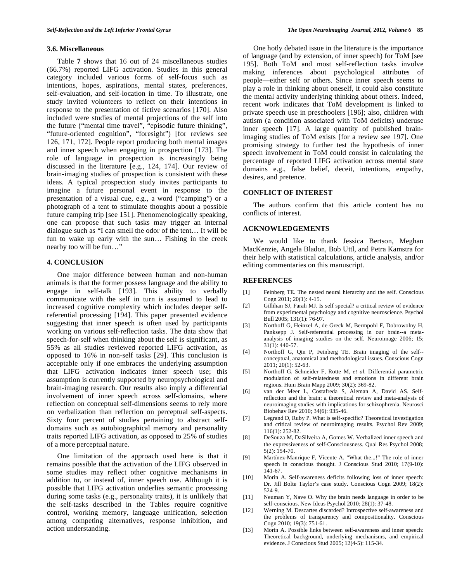#### **3.6. Miscellaneous**

 Table **7** shows that 16 out of 24 miscellaneous studies (66.7%) reported LIFG activation. Studies in this general category included various forms of self-focus such as intentions, hopes, aspirations, mental states, preferences, self-evaluation, and self-location in time. To illustrate, one study invited volunteers to reflect on their intentions in response to the presentation of fictive scenarios [170]. Also included were studies of mental projections of the self into the future ("mental time travel", "episodic future thinking", "future-oriented cognition", "foresight") [for reviews see 126, 171, 172]. People report producing both mental images and inner speech when engaging in prospection [173]. The role of language in prospection is increasingly being discussed in the literature [e.g., 124, 174]. Our review of brain-imaging studies of prospection is consistent with these ideas. A typical prospection study invites participants to imagine a future personal event in response to the presentation of a visual cue, e.g., a word ("camping") or a photograph of a tent to stimulate thoughts about a possible future camping trip [see 151]. Phenomenologically speaking, one can propose that such tasks may trigger an internal dialogue such as "I can smell the odor of the tent… It will be fun to wake up early with the sun… Fishing in the creek nearby too will be fun…"

# **4. CONCLUSION**

 One major difference between human and non-human animals is that the former possess language and the ability to engage in self-talk [193]. This ability to verbally communicate with the self in turn is assumed to lead to increased cognitive complexity which includes deeper selfreferential processing [194]. This paper presented evidence suggesting that inner speech is often used by participants working on various self-reflection tasks. The data show that speech-for-self when thinking about the self is significant, as 55% as all studies reviewed reported LIFG activation, as opposed to 16% in non-self tasks [29]. This conclusion is acceptable only if one embraces the underlying assumption that LIFG activation indicates inner speech use; this assumption is currently supported by neuropsychological and brain-imaging research. Our results also imply a differential involvement of inner speech across self-domains, where reflection on conceptual self-dimensions seems to rely more on verbalization than reflection on perceptual self-aspects. Sixty four percent of studies pertaining to abstract selfdomains such as autobiographical memory and personality traits reported LIFG activation, as opposed to 25% of studies of a more perceptual nature.

 One limitation of the approach used here is that it remains possible that the activation of the LIFG observed in some studies may reflect other cognitive mechanisms in addition to, or instead of, inner speech use. Although it is possible that LIFG activation underlies semantic processing during some tasks (e.g., personality traits), it is unlikely that the self-tasks described in the Tables require cognitive control, working memory, language unification, selection among competing alternatives, response inhibition, and action understanding.

 One hotly debated issue in the literature is the importance of language (and by extension, of inner speech) for ToM [see 195]. Both ToM and most self-reflection tasks involve making inferences about psychological attributes of people—either self or others. Since inner speech seems to play a role in thinking about oneself, it could also constitute the mental activity underlying thinking about others. Indeed, recent work indicates that ToM development is linked to private speech use in preschoolers [196]; also, children with autism (a condition associated with ToM deficits) underuse inner speech [17]. A large quantity of published brainimaging studies of ToM exists [for a review see 197]. One promising strategy to further test the hypothesis of inner speech involvement in ToM could consist in calculating the percentage of reported LIFG activation across mental state domains e.g., false belief, deceit, intentions, empathy, desires, and pretence.

# **CONFLICT OF INTEREST**

 The authors confirm that this article content has no conflicts of interest.

#### **ACKNOWLEDGEMENTS**

 We would like to thank Jessica Bertson, Meghan MacKenzie, Angela Bladon, Bob Uttl, and Petra Kamstra for their help with statistical calculations, article analysis, and/or editing commentaries on this manuscript.

#### **REFERENCES**

- [1] Feinberg TE. The nested neural hierarchy and the self. Conscious Cogn 2011; 20(1): 4-15.
- [2] Gillihan SJ, Farah MJ. Is self special? a critical review of evidence from experimental psychology and cognitive neuroscience. Psychol Bull 2005; 131(1): 76-97.
- [3] Northoff G, Heinzel A, de Greck M, Bermpohl F, Dobrowolny H, Panksepp J. Self-referential processing in our brain--a metaanalysis of imaging studies on the self. Neuroimage 2006; 15;  $31(1): 440-57$
- [4] Northoff G, Qin P, Feinberg TE. Brain imaging of the self- conceptual, anatomical and methodological issues. Conscious Cogn 2011; 20(1): 52-63.
- [5] Northoff G, Schneider F, Rotte M, et al. Differential parametric modulation of self-relatedness and emotions in different brain regions. Hum Brain Mapp 2009; 30(2): 369-82.
- [6] van der Meer L, Costafreda S, Aleman A, David AS. Selfreflection and the brain: a theoretical review and meta-analysis of neuroimaging studies with implications for schizophrenia. Neurosci Biobehav Rev 2010; 34(6): 935-46.
- [7] Legrand D, Ruby P. What is self-specific? Theoretical investigation and critical review of neuroimaging results. Psychol Rev 2009; 116(1): 252-82.
- [8] DeSouza M, DaSilveira A, Gomes W. Verbalized inner speech and the expressiveness of self-Consciousness. Qual Res Psychol 2008; 5(2): 154-70.
- [9] Martínez-Manrique F, Vicente A. "What the...!" The role of inner speech in conscious thought. J Conscious Stud 2010; 17(9-10): 141-67.
- [10] Morin A. Self-awareness deficits following loss of inner speech: Dr. Jill Bolte Taylor's case study. Conscious Cogn 2009; 18(2): 524-9.
- [11] Neuman Y, Nave O. Why the brain needs language in order to be self-conscious. New Ideas Psychol 2010; 28(1): 37-48.
- [12] Werning M. Descartes discarded? Introspective self-awareness and the problems of transparency and compositionality. Conscious Cogn 2010; 19(3): 751-61.
- [13] Morin A. Possible links between self-awareness and inner speech: Theoretical background, underlying mechanisms, and empirical evidence. J Conscious Stud 2005; 12(4-5): 115-34.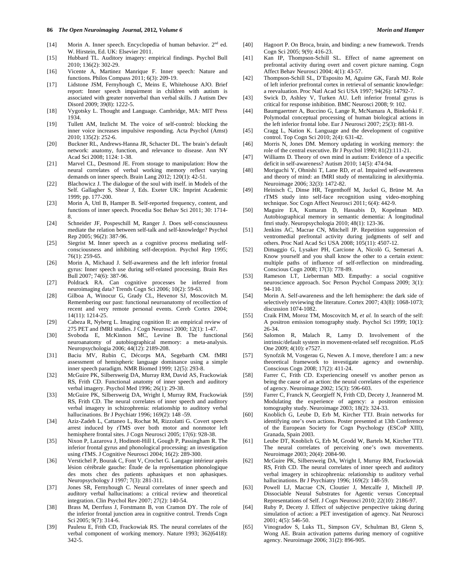- [14] Morin A. Inner speech. Encyclopedia of human behavior. 2<sup>nd</sup> ed. W. Hirstein, Ed. UK: Elsevier 2011.
- [15] Hubbard TL. Auditory imagery: empirical findings. Psychol Bull 2010; 136(2): 302-29.
- [16] Vicente A, Martinez Manrique F. Inner speech: Nature and functions. Philos Compass 2011; 6(3): 209-19.
- [17] Lidstone JSM, Fernyhough C, Meins E, Whitehouse AJO. Brief report: Inner speech impairment in children with autism is associated with greater nonverbal than verbal skills. J Autism Dev Disord 2009; 39(8): 1222-5.
- [18] Vygotsky L. Thought and Language. Cambridge, MA: MIT Press 1934.
- [19] Tullett AM, Inzlicht M. The voice of self-control: blocking the inner voice increases impulsive responding. Acta Psychol (Amst) 2010; 135(2): 252-6.
- [20] Buckner RL, Andrews-Hanna JR, Schacter DL. The brain's default network: anatomy, function, and relevance to disease. Ann NY Acad Sci 2008; 1124: 1-38.
- [21] Marvel CL, Desmond JE. From storage to manipulation: How the neural correlates of verbal working memory reflect varying demands on inner speech. Brain Lang 2012; 120(1): 42-51.
- [22] Blachowicz J. The dialogue of the soul with itself. in Models of the Self. Gallagher S, Shear J, Eds. Exeter UK: Imprint Academic 1999; pp. 177-200.
- [23] Morin A, Uttl B, Hamper B. Self-reported frequency, content, and functions of inner speech. Procedia Soc Behav Sci 2011; 30: 1714- 8.
- [24] Schneider JF, Pospeschill M, Ranger J. Does self-consciousness mediate the relation between self-talk and self-knowledge? Psychol Rep 2005; 96(2): 387-96.
- [25] Siegrist M. Inner speech as a cognitive process mediating selfconsciousness and inhibiting self-deception. Psychol Rep 1995; 76(1): 259-65.
- [26] Morin A, Michaud J. Self-awareness and the left inferior frontal gyrus: Inner speech use during self-related processing. Brain Res Bull 2007; 74(6): 387-96.
- [27] Poldrack RA. Can cognitive processes be inferred from neuroimaging data? Trends Cogn Sci 2006; 10(2): 59-63.
- [28] Gilboa A, Winocur G, Grady CL, Hevenor SJ, Moscovitch M. Remembering our past: functional neuroanatomy of recollection of recent and very remote personal events. Cereb Cortex 2004; 14(11): 1214-25.
- [29] Cabeza R, Nyberg L. Imaging cognition II: an empirical review of 275 PET and fMRI studies. J Cogn Neurosci 2000; 12(1): 1-47.
- [30] Svoboda E, McKinnon MC, Levine B. The functional neuroanatomy of autobiographical memory: a meta-analysis. Neuropsychologia 2006; 44(12): 2189-208.
- [31] Baciu MV, Rubin C, Décorps MA, Segebarth CM. fMRI assessment of hemispheric language dominance using a simple inner speech paradigm. NMR Biomed 1999; 12(5): 293-8.
- [32] McGuire PK, Silbersweig DA, Murray RM, David AS, Frackowiak RS, Frith CD. Functional anatomy of inner speech and auditory verbal imagery. Psychol Med 1996; 26(1): 29-38.
- [33] McGuire PK, Silbersweig DA, Wright I, Murray RM, Frackowiak RS, Frith CD. The neural correlates of inner speech and auditory verbal imagery in schizophrenia: relationship to auditory verbal hallucinations. Br J Psychiatr 1996; 169(2): 148 -59.
- [34] Aziz-Zadeh L, Cattaneo L, Rochat M, Rizzolatti G. Covert speech arrest induced by rTMS over both motor and nonmotor left hemisphere frontal sites. J Cogn Neurosci 2005; 17(6): 928-38.
- [35] Nixon P, Lazarova J, Hodinott-Hill I, Gough P, Passingham R. The inferior frontal gyrus and phonological processing: an investigation using rTMS. J Cognitive Neurosci 2004; 16(2): 289-300.
- [36] Verstichel P, Bourak C, Font V, Crochet G. Langage intérieur après lésion cérébrale gauche: Étude de la représentation phonologique des mots chez des patients aphasiques et non aphasiques. Neuropsychology J 1997; 7(3): 281-311.
- [37] Jones SR, Fernyhough C. Neural correlates of inner speech and auditory verbal hallucinations: a critical review and theoretical integration. Clin Psychol Rev 2007; 27(2): 140-54.
- [38] Brass M, Derrfuss J, Forstmann B, von Cramon DY. The role of the inferior frontal junction area in cognitive control. Trends Cogn Sci 2005; 9(7): 314-6.
- [39] Paulesu E, Frith CD, Frackowiak RS. The neural correlates of the verbal component of working memory. Nature 1993; 362(6418): 342-5.
- [40] Hagoort P. On Broca, brain, and binding: a new framework. Trends Cogn Sci 2005; 9(9): 416-23.
- [41] Kan IP, Thompson-Schill SL. Effect of name agreement on prefrontal activity during overt and covert picture naming. Cogn Affect Behav Neurosci 2004; 4(1): 43-57.
- [42] Thompson-Schill SL, D'Esposito M, Aguirre GK, Farah MJ. Role of left inferior prefrontal cortex in retrieval of semantic knowledge: a reevaluation. Proc Natl Acad Sci USA 1997; 94(26): 14792-7.
- [43] Swick D, Ashley V, Turken AU. Left inferior frontal gyrus is critical for response inhibition. BMC Neurosci 2008; 9: 102.
- [44] Baumgaertner A, Buccino G, Lange R, McNamara A, Binkofski F. Polymodal conceptual processing of human biological actions in the left inferior frontal lobe. Eur J Neurosci 2007; 25(3): 881-9.
- [45] Cragg L, Nation K. Language and the development of cognitive control. Top Cogn Sci 2010; 2(4): 631-42.
- [46] Morris N, Jones DM. Memory updating in working memory: the role of the central executive. Br J Psychol 1990; 81(2):111-21.
- [47] Williams D. Theory of own mind in autism: Evidence of a specific deficit in self-awareness? Autism 2010; 14(5): 474-94.
- [48] Moriguchi Y, Ohnishi T, Lane RD, *et al*. Impaired self-awareness and theory of mind: an fMRI study of mentalizing in alexithymia. Neuroimage 2006; 32(3): 1472-82.
- [49] Heinisch C, Dinse HR, Tegenthoff M, Juckel G, Brüne M. An rTMS study into self-face recognition using video-morphing technique. Soc Cogn Affect Neurosci 2011; 6(4): 442-9.
- [50] Maguire EA, Kumaran D, Hassabis D, Kopelman MD. Autobiographical memory in semantic dementia: A longitudinal fmri study. Neuropsychologia 2010; 48(1): 123-36.
- [51] Jenkins AC, Macrae CN, Mitchell JP. Repetition suppression of ventromedial prefrontal activity during judgments of self and others. Proc Natl Acad Sci USA 2008; 105(11): 4507-12.
- [52] Dimaggio G, Lysaker PH, Carcione A, Nicolò G, Semerari A. Know yourself and you shall know the other to a certain extent: multiple paths of influence of self-reflection on mindreading. Conscious Cogn 2008; 17(3): 778-89.
- [53] Rameson LT, Lieberman MD. Empathy: a social cognitive neuroscience approach. Soc Person Psychol Compass 2009; 3(1): 94-110.
- [54] Morin A. Self-awareness and the left hemisphere: the dark side of selectively reviewing the literature. Cortex 2007; 43(8): 1068-1073; discussion 1074-1082.
- [55] Craik FIM, Moroz TM, Moscovitch M, *et al.* In search of the self: A positron emission tomography study. Psychol Sci 1999; 10(1): 26-34.
- [56] Salomon R, Malach R, Lamy D. Involvement of the intrinsic/default system in movement-related self recognition. PLoS One 2009; 4(10): e7527.
- [57] Synofzik M, Vosgerau G, Newen A. I move, therefore I am: a new theoretical framework to investigate agency and ownership. Conscious Cogn 2008; 17(2): 411-24.
- [58] Farrer C, Frith CD. Experiencing oneself vs another person as being the cause of an action: the neural correlates of the experience of agency. Neuroimage 2002; 15(3): 596-603.
- [59] Farrer C, Franck N, Georgieff N, Frith CD, Decety J, Jeannerod M. Modulating the experience of agency: a positron emission tomography study. Neuroimage 2003; 18(2): 324-33.
- [60] Knoblich G, Leube D, Erb M, Kircher TTJ. Brain networks for identifying one's own actions. Poster presented at 13th Conference of the European Society for Cogn Psychology (ESCoP XIII), Granada, Spain 2003.
- [61] Leube DT, Knoblich G, Erb M, Grodd W, Bartels M, Kircher TTJ. The neural correlates of perceiving one's own movements. Neuroimage 2003; 20(4): 2084-90.
- [62] McGuire PK, Silbersweig DA, Wright I, Murray RM, Frackowiak RS, Frith CD. The neural correlates of inner speech and auditory verbal imagery in schizophrenia: relationship to auditory verbal hallucinations. Br J Psychiatry 1996; 169(2): 148-59.
- [63] Powell LJ, Macrae CN, Cloutier J, Metcalfe J, Mitchell JP. Dissociable Neural Substrates for Agentic versus Conceptual Representations of Self. J Cogn Neurosci 2010; 22(10): 2186-97.
- [64] Ruby P, Decety J. Effect of subjective perspective taking during simulation of action: a PET investigation of agency. Nat Neurosci 2001; 4(5): 546-50.
- [65] Vinogradov S, Luks TL, Simpson GV, Schulman BJ, Glenn S, Wong AE. Brain activation patterns during memory of cognitive agency. Neuroimage 2006; 31(2): 896-905.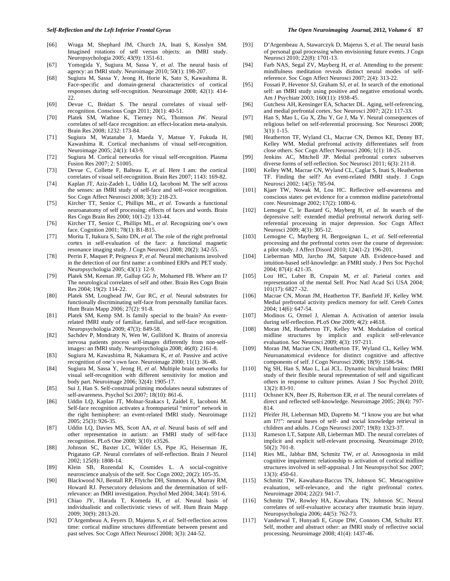- [66] Wraga M, Shephard JM, Church JA, Inati S, Kosslyn SM. Imagined rotations of self versus objects: an fMRI study. Neuropsychologia 2005; 43(9): 1351-61.
- [67] Yomogida Y, Sugiura M, Sassa Y, *et al*. The neural basis of agency: an fMRI study. Neuroimage 2010; 50(1): 198-207.
- [68] Sugiura M, Sassa Y, Jeong H, Horie K, Sato S, Kawashima R. Face-specific and domain-general characteristics of cortical responses during self-recognition. Neuroimage 2008; 42(1): 414- 22.
- [69] Devue C, Brédart S. The neural correlates of visual selfrecognition. Conscious Cogn 2011; 20(1): 40-51.
- [70] Platek SM, Wathne K, Tierney NG, Thomson JW. Neural correlates of self-face recognition: an effect-location meta-analysis. Brain Res 2008; 1232: 173-84.
- [71] Sugiura M, Watanabe J, Maeda Y, Matsue Y, Fukuda H, Kawashima R. Cortical mechanisms of visual self-recognition. Neuroimage 2005; 24(1): 143-9.
- [72] Sugiura M. Cortical networks for visual self-recognition. Plasma Fusion Res 2007; 2: S1005.
- [73] Devue C, Collette F, Balteau E, *et al.* Here I am: the cortical correlates of visual self-recognition. Brain Res 2007; 1143: 169-82.
- [74] Kaplan JT, Aziz-Zadeh L, Uddin LQ, Iacoboni M. The self across the senses: an fMRI study of self-face and self-voice recognition. Soc Cogn Affect Neurosci 2008; 3(3): 218-23.
- [75] Kircher TT, Senior C, Phillips ML, *et al.* Towards a functional neuroanatomy of self processing: effects of faces and words. Brain Res Cogn Brain Res 2000; 10(1-2): 133-44.
- [76] Kircher TT, Senior C, Phillips ML, *et al*. Recognizing one's own face. Cognition 2001; 78(1): B1-B15.
- [77] Morita T, Itakura S, Saito DN, *et al*. The role of the right prefrontal cortex in self-evaluation of the face: a functional magnetic resonance imaging study. J Cogn Neurosci 2008; 20(2): 342-55.
- [78] Perrin F, Maquet P, Peigneux P, *et al*. Neural mechanisms involved in the detection of our first name: a combined ERPs and PET study. Neuropsychologia 2005; 43(1): 12-9.
- [79] Platek SM, Keenan JP, Gallup GG Jr, Mohamed FB. Where am I? The neurological correlates of self and other. Brain Res Cogn Brain Res 2004; 19(2): 114-22.
- [80] Platek SM, Loughead JW, Gur RC, *et al.* Neural substrates for functionally discriminating self-face from personally familiar faces. Hum Brain Mapp 2006; 27(2): 91-8.
- [81] Platek SM, Kemp SM. Is family special to the brain? An eventrelated fMRI study of familiar, familial, and self-face recognition. Neuropsychologia 2009; 47(3): 849-58.
- [82] Sachdev P, Mondraty N, Wen W, Gulliford K. Brains of anorexia nervosa patients process self-images differently from non-selfimages: an fMRI study. Neuropsychologia 2008; 46(8): 2161-8.
- [83] Sugiura M, Kawashima R, Nakamura K, *et al*. Passive and active recognition of one's own face. Neuroimage 2000; 11(1): 36-48.
- [84] Sugiura M, Sassa Y, Jeong H, *et al.* Multiple brain networks for visual self-recognition with different sensitivity for motion and body part. Neuroimage 2006; 32(4): 1905-17.
- [85] Sui J, Han S. Self-construal priming modulates neural substrates of self-awareness. Psychol Sci 2007; 18(10): 861-6.
- [86] Uddin LQ, Kaplan JT, Molnar-Szakacs I, Zaidel E, Iacoboni M. Self-face recognition activates a frontoparietal "mirror" network in the right hemisphere: an event-related fMRI study. Neuroimage 2005; 25(3): 926-35.
- [87] Uddin LQ, Davies MS, Scott AA, *et al*. Neural basis of self and other representation in autism: an FMRI study of self-face recognition. PLoS One 2008; 3(10): e3526.
- [88] Johnson SC, Baxter LC, Wilder LS, Pipe JG, Heiserman JE, Prigatano GP. Neural correlates of self-reflection. Brain J Neurol 2002; 125(8): 1808-14.
- [89] Klein SB, Rozendal K, Cosmides L. A social-cognitive neuroscience analysis of the self. Soc Cogn 2002; 20(2): 105-35.
- [90] Blackwood NJ, Bentall RP, Ffytche DH, Simmons A, Murray RM, Howard RJ. Persecutory delusions and the determination of selfrelevance: an fMRI investigation. Psychol Med 2004; 34(4): 591-6.
- [91] Chiao JY, Harada T, Komeda H, *et al*. Neural basis of individualistic and collectivistic views of self. Hum Brain Mapp 2009; 30(9): 2813-20.
- [92] D'Argembeau A, Feyers D, Majerus S, *et al*. Self-reflection across time: cortical midline structures differentiate between present and past selves. Soc Cogn Affect Neurosci 2008; 3(3): 244-52.
- *Self-Reflection and the Left Inferior Frontal Gyrus The Open Neuroimaging Journal,* **2012***, Volume 6* **87**
	- [93] D'Argembeau A, Stawarczyk D, Majerus S, *et al*. The neural basis of personal goal processing when envisioning future events. J Cogn Neurosci 2010; 22(8): 1701-13.
	- [94] Farb NAS, Segal ZV, Mayberg H, *et al*. Attending to the present: mindfulness meditation reveals distinct neural modes of selfreference. Soc Cogn Affect Neurosci 2007; 2(4): 313-22.
	- [95] Fossati P, Hevenor SJ, Graham SJ, *et al.* In search of the emotional self: an fMRI study using positive and negative emotional words. Am J Psychiatr 2003; 160(11): 1938-45.
	- [96] Gutchess AH, Kensinger EA, Schacter DL. Aging, self-referencing, and medial prefrontal cortex. Soc Neurosci 2007; 2(2): 117-33.
	- [97] Han S, Mao L, Gu X, Zhu Y, Ge J, Ma Y. Neural consequences of religious belief on self-referential processing. Soc Neurosci 2008; 3(1): 1-15.
	- [98] Heatherton TF, Wyland CL, Macrae CN, Demos KE, Denny BT, Kelley WM. Medial prefrontal activity differentiates self from close others. Soc Cogn Affect Neurosci 2006; 1(1): 18-25.
	- [99] Jenkins AC, Mitchell JP. Medial prefrontal cortex subserves diverse forms of self-reflection. Soc Neurosci 2011; 6(3): 211-8.
	- [100] Kelley WM, Macrae CN, Wyland CL, Caglar S, Inati S, Heatherton TF. Finding the self? An event-related fMRI study. J Cogn Neurosci 2002; 14(5): 785-94.
	- [101] Kjaer TW, Nowak M, Lou HC. Reflective self-awareness and conscious states: pet evidence for a common midline parietofrontal core. Neuroimage 2002; 17(2): 1080-6.
	- [102] Lemogne C, le Bastard G, Mayberg H, *et al*. In search of the depressive self: extended medial prefrontal network during selfreferential processing in major depression. Soc Cogn Affect Neurosci 2009; 4(3): 305-12.
	- [103] Lemogne C, Mayberg H, Bergouignan L, *et al*. Self-referential processing and the prefrontal cortex over the course of depression: a pilot study. J Affect Disord 2010; 124(1-2): 196-201.
	- [104] Lieberman MD, Jarcho JM, Satpute AB. Evidence-based and intuition-based self-knowledge: an FMRI study. J Pers Soc Psychol 2004; 87(4): 421-35.
	- [105] Lou HC, Luber B, Crupain M, *et al*. Parietal cortex and representation of the mental Self. Proc Natl Acad Sci USA 2004;  $101(17)$ : 6827 -32.
	- [106] Macrae CN, Moran JM, Heatherton TF, Banfield JF, Kelley WM. Medial prefrontal activity predicts memory for self. Cereb Cortex 2004; 14(6): 647-54.
	- [107] Modinos G, Ormel J, Aleman A. Activation of anterior insula during self-reflection. PLoS One 2009; 4(2): e4618.
	- [108] Moran JM, Heatherton TF, Kelley WM. Modulation of cortical midline structures by implicit and explicit self-relevance evaluation. Soc Neurosci 2009; 4(3): 197-211.
	- [109] Moran JM, Macrae CN, Heatherton TF, Wyland CL, Kelley WM. Neuroanatomical evidence for distinct cognitive and affective components of self. J Cogn Neurosci 2006; 18(9): 1586-94.
	- [110] Ng SH, Han S, Mao L, Lai JCL. Dynamic bicultural brains: fMRI study of their flexible neural representation of self and significant others in response to culture primes. Asian J Soc Psychol 2010; 13(2): 83-91.
	- [111] Ochsner KN, Beer JS, Robertson ER, *et al*. The neural correlates of direct and reflected self-knowledge. Neuroimage 2005; 28(4): 797- 814.
	- [112] Pfeifer JH, Lieberman MD, Dapretto M. "I know you are but what am I?!": neural bases of self- and social knowledge retrieval in children and adults. J Cogn Neurosci 2007; 19(8): 1323-37.
	- [113] Rameson LT, Satpute AB, Lieberman MD. The neural correlates of implicit and explicit self-relevant processing. Neuroimage 2010; 50(2): 701-8.
	- [114] Ries ML, Jabbar BM, Schmitz TW, *et al*. Anosognosia in mild cognitive impairment: relationship to activation of cortical midline structures involved in self-appraisal. J Int Neuropsychol Soc 2007; 13(3): 450-61.
	- [115] Schmitz TW, Kawahara-Baccus TN, Johnson SC. Metacognitive evaluation, self-relevance, and the right prefrontal cortex. Neuroimage 2004; 22(2): 941-7.
	- [116] Schmitz TW, Rowley HA, Kawahara TN, Johnson SC. Neural correlates of self-evaluative accuracy after traumatic brain injury. Neuropsychologia 2006; 44(5): 762-73.
	- [117] Vanderwal T, Hunyadi E, Grupe DW, Connors CM, Schultz RT. Self, mother and abstract other: an fMRI study of reflective social processing. Neuroimage 2008; 41(4): 1437-46.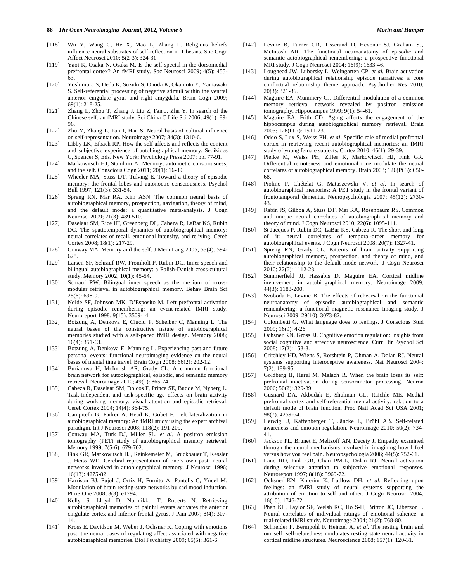- [118] Wu Y, Wang C, He X, Mao L, Zhang L. Religious beliefs influence neural substrates of self-reflection in Tibetans. Soc Cogn Affect Neurosci 2010; 5(2-3): 324-31.
- [119] Yaoi K, Osaka N, Osaka M. Is the self special in the dorsomedial prefrontal cortex? An fMRI study. Soc Neurosci 2009; 4(5): 455- 63.
- [120] Yoshimura S, Ueda K, Suzuki S, Onoda K, Okamoto Y, Yamawaki S. Self-referential processing of negative stimuli within the ventral anterior cingulate gyrus and right amygdala. Brain Cogn 2009; 69(1): 218-25.
- [121] Zhang L, Zhou T, Zhang J, Liu Z, Fan J, Zhu Y. In search of the Chinese self: an fMRI study. Sci China C Life Sci 2006; 49(1): 89- 96.
- [122] Zhu Y, Zhang L, Fan J, Han S. Neural basis of cultural influence on self-representation. Neuroimage 2007; 34(3): 1310-6.
- [123] Libby LK, Eibach RP. How the self affects and reflects the content and subjective experience of autobiographical memory. Sedikides C, Spencer S, Eds. New York: Psychology Press 2007; pp. 77-91.
- [124] Markowitsch HJ, Staniloiu A. Memory, autonoetic consciousness, and the self. Conscious Cogn 2011; 20(1): 16-39.
- [125] Wheeler MA, Stuss DT, Tulving E. Toward a theory of episodic memory: the frontal lobes and autonoetic consciousness. Psychol Bull 1997; 121(3): 331-54.
- [126] Spreng RN, Mar RA, Kim ASN. The common neural basis of autobiographical memory, prospection, navigation, theory of mind, and the default mode: a quantitative meta-analysis. J Cogn Neurosci 2009; 21(3): 489-510.
- [127] Daselaar SM, Rice HJ, Greenberg DL, Cabeza R, LaBar KS, Rubin DC. The spatiotemporal dynamics of autobiographical memory: neural correlates of recall, emotional intensity, and reliving. Cereb Cortex 2008; 18(1): 217-29.
- [128] Conway MA. Memory and the self. J Mem Lang 2005; 53(4): 594- 628.
- [129] Larsen SF, Schrauf RW, Fromholt P, Rubin DC. Inner speech and bilingual autobiographical memory: a Polish-Danish cross-cultural study. Memory 2002; 10(1): 45-54.
- [130] Schrauf RW. Bilingual inner speech as the medium of crossmodular retrieval in autobiographical memory. Behav Brain Sci 25(6): 698-9.
- [131] Nolde SF, Johnson MK, D'Esposito M. Left prefrontal activation during episodic remembering: an event-related fMRI study. Neuroreport 1998; 9(15): 3509-14.
- [132] Botzung A, Denkova E, Ciuciu P, Scheiber C, Manning L. The neural bases of the constructive nature of autobiographical memories studied with a self-paced fMRI design. Memory 2008; 16(4): 351-63.
- [133] Botzung A, Denkova E, Manning L. Experiencing past and future personal events: functional neuroimaging evidence on the neural bases of mental time travel. Brain Cogn 2008; 66(2): 202-12.
- [134] Burianova H, McIntosh AR, Grady CL. A common functional brain network for autobiographical, episodic, and semantic memory retrieval. Neuroimage 2010; 49(1): 865-74.
- [135] Cabeza R, Daselaar SM, Dolcos F, Prince SE, Budde M, Nyberg L. Task-independent and task-specific age effects on brain activity during working memory, visual attention and episodic retrieval. Cereb Cortex 2004; 14(4): 364-75.
- [136] Campitelli G, Parker A, Head K, Gobet F. Left lateralization in autobiographical memory: An fMRI study using the expert archival paradigm. Int J Neurosci 2008; 118(2): 191-209.
- [137] Conway MA, Turk DJ, Miller SL, *et al.* A positron emission tomography (PET) study of autobiographical memory retrieval. Memory 1999; 7(5-6): 679-702.
- [138] Fink GR, Markowitsch HJ, Reinkemeier M, Bruckbauer T, Kessler J, Heiss WD. Cerebral representation of one's own past: neural networks involved in autobiographical memory. J Neurosci 1996; 16(13): 4275-82.
- [139] Harrison BJ, Pujol J, Ortiz H, Fornito A, Pantelis C, Yücel M. Modulation of brain resting-state networks by sad mood induction. PLoS One 2008; 3(3): e1794.
- [140] Kelly S, Lloyd D, Nurmikko T, Roberts N. Retrieving autobiographical memories of painful events activates the anterior cingulate cortex and inferior frontal gyrus. J Pain 2007; 8(4): 307- 14.
- [141] Kross E, Davidson M, Weber J, Ochsner K. Coping with emotions past: the neural bases of regulating affect associated with negative autobiographical memories. Biol Psychiatry 2009; 65(5): 361-6.
- [142] Levine B, Turner GR, Tisserand D, Hevenor SJ, Graham SJ, McIntosh AR. The functional neuroanatomy of episodic and semantic autobiographical remembering: a prospective functional MRI study. J Cogn Neurosci 2004; 16(9): 1633-46.
- [143] Loughead JW, Luborsky L, Weingarten CP, *et al.* Brain activation during autobiographical relationship episode narratives: a core conflictual relationship theme approach. Psychother Res 2010; 20(3): 321-36.
- [144] Maguire EA, Mummery CJ. Differential modulation of a common memory retrieval network revealed by positron emission tomography. Hippocampus 1999; 9(1): 54-61.
- [145] Maguire EA, Frith CD. Aging affects the engagement of the hippocampus during autobiographical memory retrieval. Brain 2003; 126(Pt 7): 1511-23.
- [146] Oddo S, Lux S, Weiss PH, *et al*. Specific role of medial prefrontal cortex in retrieving recent autobiographical memories: an fMRI study of young female subjects. Cortex 2010; 46(1): 29-39.
- [147] Piefke M, Weiss PH, Zilles K, Markowitsch HJ, Fink GR. Differential remoteness and emotional tone modulate the neural correlates of autobiographical memory. Brain 2003; 126(Pt 3): 650- 68.
- [148] Piolino P, Chételat G, Matuszewski V, *et al*. In search of autobiographical memories: A PET study in the frontal variant of frontotemporal dementia. Neuropsychologia 2007; 45(12): 2730- 43.
- [149] Rabin JS, Gilboa A, Stuss DT, Mar RA, Rosenbaum RS. Common and unique neural correlates of autobiographical memory and theory of mind. J Cogn Neurosci 2010; 22(6): 1095-111.
- [150] St Jacques P, Rubin DC, LaBar KS, Cabeza R. The short and long of it: neural correlates of temporal-order memory for autobiographical events. J Cogn Neurosci 2008; 20(7): 1327-41.
- [151] Spreng RN, Grady CL. Patterns of brain activity supporting autobiographical memory, prospection, and theory of mind, and their relationship to the default mode network. J Cogn Neurosci 2010; 22(6): 1112-23.
- [152] Summerfield JJ, Hassabis D, Maguire EA. Cortical midline involvement in autobiographical memory. Neuroimage 2009; 44(3): 1188-200.
- [153] Svoboda E, Levine B. The effects of rehearsal on the functional neuroanatomy of episodic autobiographical and semantic remembering: a functional magnetic resonance imaging study. J Neurosci 2009; 29(10): 3073-82.
- [154] Colombetti G. What language does to feelings. J Conscious Stud 2009; 16(9): 4-26.
- [155] Ochsner KN, Gross JJ. Cognitive emotion regulation: Insights from social cognitive and affective neuroscience. Curr Dir Psychol Sci 2008; 17(2): 153-8.
- [156] Critchley HD, Wiens S, Rotshtein P, Ohman A, Dolan RJ. Neural systems supporting interoceptive awareness. Nat Neurosci 2004; 7(2): 189-95.
- [157] Goldberg II, Harel M, Malach R. When the brain loses its self: prefrontal inactivation during sensorimotor processing. Neuron 2006; 50(2): 329-39.
- [158] Gusnard DA, Akbudak E, Shulman GL, Raichle ME. Medial prefrontal cortex and self-referential mental activity: relation to a default mode of brain function. Proc Natl Acad Sci USA 2001; 98(7): 4259-64.
- [159] Herwig U, Kaffenberger T, Jäncke L, Brühl AB. Self-related awareness and emotion regulation. Neuroimage 2010; 50(2): 734- 41.
- [160] Jackson PL, Brunet E, Meltzoff AN, Decety J. Empathy examined through the neural mechanisms involved in imagining how I feel versus how you feel pain. Neuropsychologia 2006; 44(5): 752-61.
- [161] Lane RD, Fink GR, Chau PM-L, Dolan RJ. Neural activation during selective attention to subjective emotional responses. Neuroreport 1997; 8(18): 3969-72.
- [162] Ochsner KN, Knierim K, Ludlow DH, *et al*. Reflecting upon feelings: an fMRI study of neural systems supporting the attribution of emotion to self and other. J Cogn Neurosci 2004; 16(10): 1746-72.
- [163] Phan KL, Taylor SF, Welsh RC, Ho S-H, Britton JC, Liberzon I. Neural correlates of individual ratings of emotional salience: a trial-related fMRI study. Neuroimage 2004; 21(2): 768-80.
- [164] Schneider F, Bermpohl F, Heinzel A, *et al.* The resting brain and our self: self-relatedness modulates resting state neural activity in cortical midline structures. Neuroscience 2008; 157(1): 120-31.